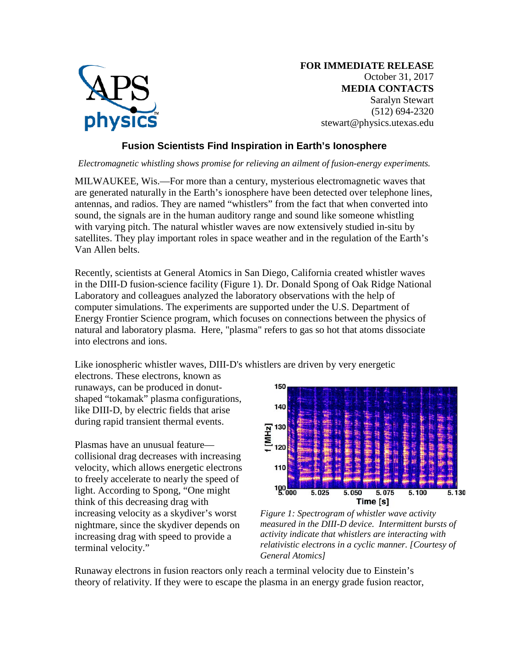

**FOR IMMEDIATE RELEASE** October 31, 2017 **MEDIA CONTACTS** Saralyn Stewart (512) 694-2320 stewart@physics.utexas.edu

## **Fusion Scientists Find Inspiration in Earth's Ionosphere**

*Electromagnetic whistling shows promise for relieving an ailment of fusion-energy experiments.*

MILWAUKEE, Wis.—For more than a century, mysterious electromagnetic waves that are generated naturally in the Earth's ionosphere have been detected over telephone lines, antennas, and radios. They are named "whistlers" from the fact that when converted into sound, the signals are in the human auditory range and sound like someone whistling with varying pitch. The natural whistler waves are now extensively studied in-situ by satellites. They play important roles in space weather and in the regulation of the Earth's Van Allen belts.

Recently, scientists at General Atomics in San Diego, California created whistler waves in the DIII-D fusion-science facility (Figure 1). Dr. Donald Spong of Oak Ridge National Laboratory and colleagues analyzed the laboratory observations with the help of computer simulations. The experiments are supported under the U.S. Department of Energy Frontier Science program, which focuses on connections between the physics of natural and laboratory plasma. Here, "plasma" refers to gas so hot that atoms dissociate into electrons and ions.

Like ionospheric whistler waves, DIII-D's whistlers are driven by very energetic

electrons. These electrons, known as runaways, can be produced in donutshaped "tokamak" plasma configurations, like DIII-D, by electric fields that arise during rapid transient thermal events.

Plasmas have an unusual feature collisional drag decreases with increasing velocity, which allows energetic electrons to freely accelerate to nearly the speed of light. According to Spong, "One might think of this decreasing drag with increasing velocity as a skydiver's worst nightmare, since the skydiver depends on increasing drag with speed to provide a terminal velocity."



*Figure 1: Spectrogram of whistler wave activity measured in the DIII-D device. Intermittent bursts of activity indicate that whistlers are interacting with relativistic electrons in a cyclic manner. [Courtesy of General Atomics]*

Runaway electrons in fusion reactors only reach a terminal velocity due to Einstein's theory of relativity. If they were to escape the plasma in an energy grade fusion reactor,